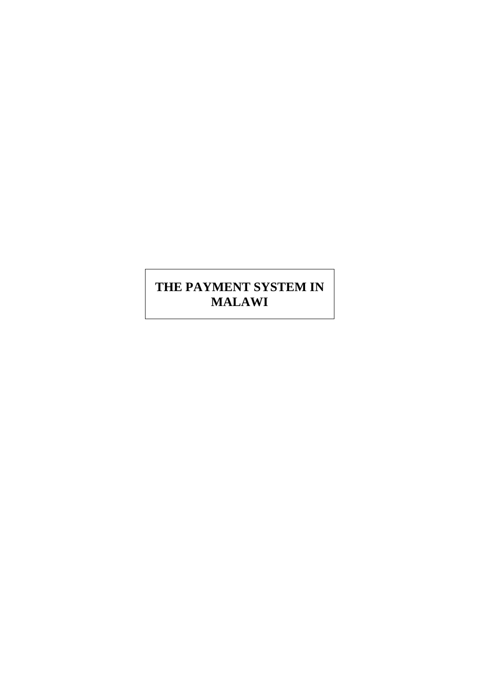# **THE PAYMENT SYSTEM IN MALAWI**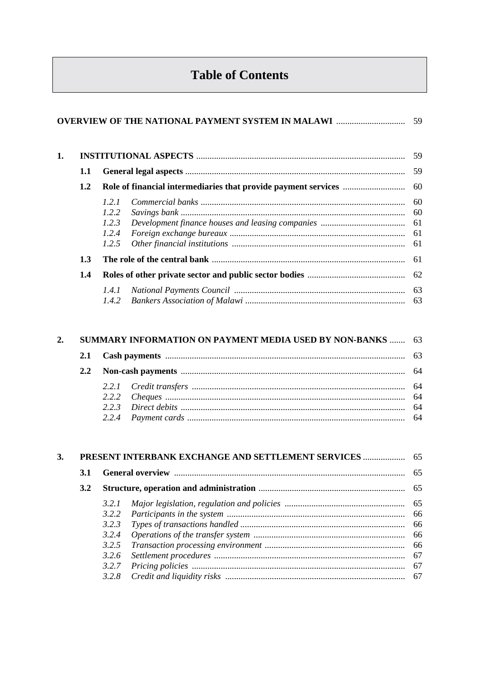# **Table of Contents**

| 1. |     |                                           | .59            |
|----|-----|-------------------------------------------|----------------|
|    | 1.1 |                                           | 59             |
|    | 1.2 |                                           | 60             |
|    |     | 1.2.1<br>1.2.2<br>1.2.3<br>1.2.4<br>1.2.5 | 60<br>60<br>61 |
|    | 1.3 |                                           | 61             |
|    | 1.4 |                                           | 62             |
|    |     | 1.4.1<br>1.4.2                            | 63             |

|  | 2. SUMMARY INFORMATION ON PAYMENT MEDIA USED BY NON-BANKS  63 |  |  |  |  |
|--|---------------------------------------------------------------|--|--|--|--|
|  |                                                               |  |  |  |  |
|  |                                                               |  |  |  |  |
|  |                                                               |  |  |  |  |

| 3. |     | PRESENT INTERBANK EXCHANGE AND SETTLEMENT SERVICES  65 |  |      |
|----|-----|--------------------------------------------------------|--|------|
|    | 3.1 |                                                        |  |      |
|    | 3.2 |                                                        |  |      |
|    |     | 3.2.1                                                  |  |      |
|    |     | 3.2.2                                                  |  |      |
|    |     | 3.2.3                                                  |  | - 66 |
|    |     | 3.2.4                                                  |  |      |
|    |     | 3.2.5                                                  |  |      |
|    |     | 3.2.6                                                  |  |      |
|    |     | 3.2.7                                                  |  |      |
|    |     | 3.2.8                                                  |  |      |
|    |     |                                                        |  |      |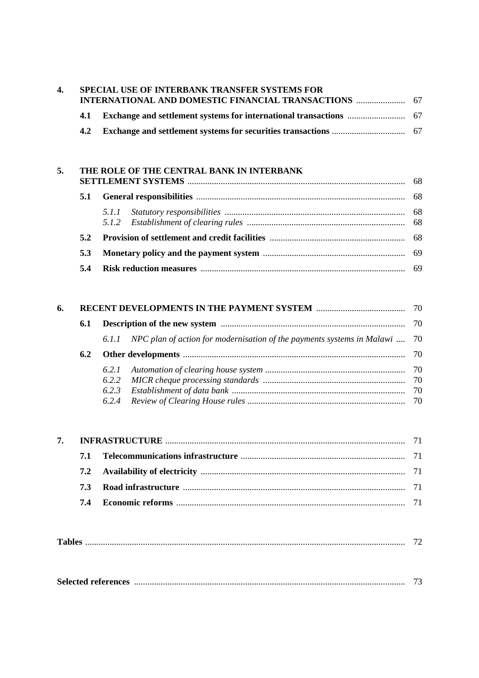|     | SPECIAL USE OF INTERBANK TRANSFER SYSTEMS FOR<br><b>INTERNATIONAL AND DOMESTIC FINANCIAL TRANSACTIONS  67</b> |  |  |  |  |  |
|-----|---------------------------------------------------------------------------------------------------------------|--|--|--|--|--|
| 4.1 |                                                                                                               |  |  |  |  |  |
| 4.2 |                                                                                                               |  |  |  |  |  |

| THE ROLE OF THE CENTRAL BANK IN INTERBANK |  |  |  |  |  |
|-------------------------------------------|--|--|--|--|--|
| 5.1                                       |  |  |  |  |  |
|                                           |  |  |  |  |  |
| 5.2                                       |  |  |  |  |  |
| 5.3                                       |  |  |  |  |  |
| 5.4                                       |  |  |  |  |  |
|                                           |  |  |  |  |  |

| 6. |     |  |                                                                                  |  |  |  |
|----|-----|--|----------------------------------------------------------------------------------|--|--|--|
|    | 6.1 |  |                                                                                  |  |  |  |
|    |     |  | 6.1.1 NPC plan of action for modernisation of the payments systems in Malawi  70 |  |  |  |
|    | 6.2 |  |                                                                                  |  |  |  |
|    |     |  |                                                                                  |  |  |  |
|    |     |  |                                                                                  |  |  |  |
|    |     |  |                                                                                  |  |  |  |
|    |     |  |                                                                                  |  |  |  |

| m 1 |
|-----|
|-----|

|  |  | $\overline{1}$ . |
|--|--|------------------|
|--|--|------------------|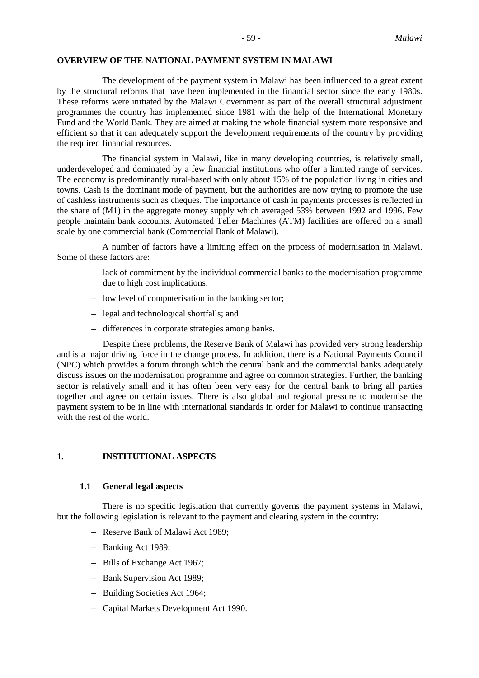# **OVERVIEW OF THE NATIONAL PAYMENT SYSTEM IN MALAWI**

The development of the payment system in Malawi has been influenced to a great extent by the structural reforms that have been implemented in the financial sector since the early 1980s. These reforms were initiated by the Malawi Government as part of the overall structural adjustment programmes the country has implemented since 1981 with the help of the International Monetary Fund and the World Bank. They are aimed at making the whole financial system more responsive and efficient so that it can adequately support the development requirements of the country by providing the required financial resources.

The financial system in Malawi, like in many developing countries, is relatively small, underdeveloped and dominated by a few financial institutions who offer a limited range of services. The economy is predominantly rural-based with only about 15% of the population living in cities and towns. Cash is the dominant mode of payment, but the authorities are now trying to promote the use of cashless instruments such as cheques. The importance of cash in payments processes is reflected in the share of (M1) in the aggregate money supply which averaged 53% between 1992 and 1996. Few people maintain bank accounts. Automated Teller Machines (ATM) facilities are offered on a small scale by one commercial bank (Commercial Bank of Malawi).

A number of factors have a limiting effect on the process of modernisation in Malawi. Some of these factors are:

- lack of commitment by the individual commercial banks to the modernisation programme due to high cost implications;
- low level of computerisation in the banking sector;
- legal and technological shortfalls; and
- differences in corporate strategies among banks.

Despite these problems, the Reserve Bank of Malawi has provided very strong leadership and is a major driving force in the change process. In addition, there is a National Payments Council (NPC) which provides a forum through which the central bank and the commercial banks adequately discuss issues on the modernisation programme and agree on common strategies. Further, the banking sector is relatively small and it has often been very easy for the central bank to bring all parties together and agree on certain issues. There is also global and regional pressure to modernise the payment system to be in line with international standards in order for Malawi to continue transacting with the rest of the world.

# **1. INSTITUTIONAL ASPECTS**

#### **1.1 General legal aspects**

There is no specific legislation that currently governs the payment systems in Malawi, but the following legislation is relevant to the payment and clearing system in the country:

- Reserve Bank of Malawi Act 1989;
- Banking Act 1989;
- Bills of Exchange Act 1967;
- Bank Supervision Act 1989;
- Building Societies Act 1964;
- Capital Markets Development Act 1990.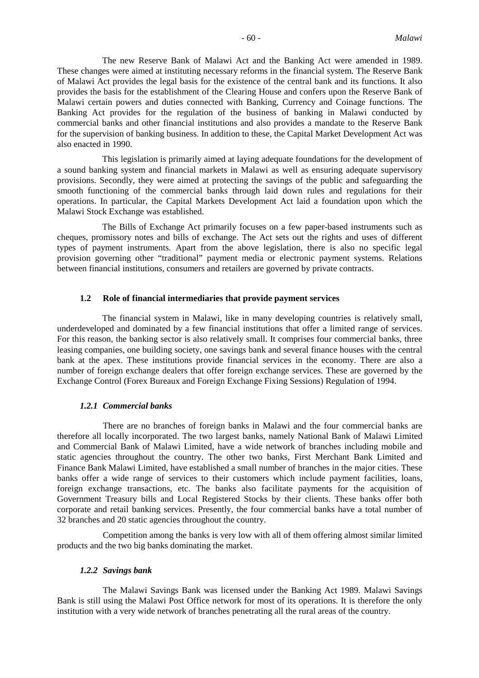The new Reserve Bank of Malawi Act and the Banking Act were amended in 1989. These changes were aimed at instituting necessary reforms in the financial system. The Reserve Bank of Malawi Act provides the legal basis for the existence of the central bank and its functions. It also provides the basis for the establishment of the Clearing House and confers upon the Reserve Bank of Malawi certain powers and duties connected with Banking, Currency and Coinage functions. The Banking Act provides for the regulation of the business of banking in Malawi conducted by commercial banks and other financial institutions and also provides a mandate to the Reserve Bank for the supervision of banking business. In addition to these, the Capital Market Development Act was also enacted in 1990.

This legislation is primarily aimed at laying adequate foundations for the development of a sound banking system and financial markets in Malawi as well as ensuring adequate supervisory provisions. Secondly, they were aimed at protecting the savings of the public and safeguarding the smooth functioning of the commercial banks through laid down rules and regulations for their operations. In particular, the Capital Markets Development Act laid a foundation upon which the Malawi Stock Exchange was established.

The Bills of Exchange Act primarily focuses on a few paper-based instruments such as cheques, promissory notes and bills of exchange. The Act sets out the rights and uses of different types of payment instruments. Apart from the above legislation, there is also no specific legal provision governing other "traditional" payment media or electronic payment systems. Relations between financial institutions, consumers and retailers are governed by private contracts.

#### **1.2 Role of financial intermediaries that provide payment services**

The financial system in Malawi, like in many developing countries is relatively small, underdeveloped and dominated by a few financial institutions that offer a limited range of services. For this reason, the banking sector is also relatively small. It comprises four commercial banks, three leasing companies, one building society, one savings bank and several finance houses with the central bank at the apex. These institutions provide financial services in the economy. There are also a number of foreign exchange dealers that offer foreign exchange services. These are governed by the Exchange Control (Forex Bureaux and Foreign Exchange Fixing Sessions) Regulation of 1994.

#### *1.2.1 Commercial banks*

There are no branches of foreign banks in Malawi and the four commercial banks are therefore all locally incorporated. The two largest banks, namely National Bank of Malawi Limited and Commercial Bank of Malawi Limited, have a wide network of branches including mobile and static agencies throughout the country. The other two banks, First Merchant Bank Limited and Finance Bank Malawi Limited, have established a small number of branches in the major cities. These banks offer a wide range of services to their customers which include payment facilities, loans, foreign exchange transactions, etc. The banks also facilitate payments for the acquisition of Government Treasury bills and Local Registered Stocks by their clients. These banks offer both corporate and retail banking services. Presently, the four commercial banks have a total number of 32 branches and 20 static agencies throughout the country.

Competition among the banks is very low with all of them offering almost similar limited products and the two big banks dominating the market.

#### *1.2.2 Savings bank*

The Malawi Savings Bank was licensed under the Banking Act 1989. Malawi Savings Bank is still using the Malawi Post Office network for most of its operations. It is therefore the only institution with a very wide network of branches penetrating all the rural areas of the country.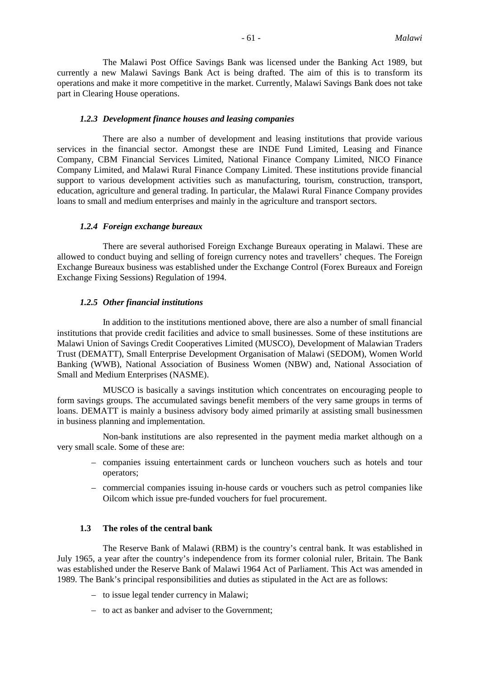The Malawi Post Office Savings Bank was licensed under the Banking Act 1989, but currently a new Malawi Savings Bank Act is being drafted. The aim of this is to transform its operations and make it more competitive in the market. Currently, Malawi Savings Bank does not take part in Clearing House operations.

### *1.2.3 Development finance houses and leasing companies*

There are also a number of development and leasing institutions that provide various services in the financial sector. Amongst these are INDE Fund Limited, Leasing and Finance Company, CBM Financial Services Limited, National Finance Company Limited, NICO Finance Company Limited, and Malawi Rural Finance Company Limited. These institutions provide financial support to various development activities such as manufacturing, tourism, construction, transport, education, agriculture and general trading. In particular, the Malawi Rural Finance Company provides loans to small and medium enterprises and mainly in the agriculture and transport sectors.

#### *1.2.4 Foreign exchange bureaux*

There are several authorised Foreign Exchange Bureaux operating in Malawi. These are allowed to conduct buying and selling of foreign currency notes and travellers' cheques. The Foreign Exchange Bureaux business was established under the Exchange Control (Forex Bureaux and Foreign Exchange Fixing Sessions) Regulation of 1994.

#### *1.2.5 Other financial institutions*

In addition to the institutions mentioned above, there are also a number of small financial institutions that provide credit facilities and advice to small businesses. Some of these institutions are Malawi Union of Savings Credit Cooperatives Limited (MUSCO), Development of Malawian Traders Trust (DEMATT), Small Enterprise Development Organisation of Malawi (SEDOM), Women World Banking (WWB), National Association of Business Women (NBW) and, National Association of Small and Medium Enterprises (NASME).

MUSCO is basically a savings institution which concentrates on encouraging people to form savings groups. The accumulated savings benefit members of the very same groups in terms of loans. DEMATT is mainly a business advisory body aimed primarily at assisting small businessmen in business planning and implementation.

Non-bank institutions are also represented in the payment media market although on a very small scale. Some of these are:

- companies issuing entertainment cards or luncheon vouchers such as hotels and tour operators;
- commercial companies issuing in-house cards or vouchers such as petrol companies like Oilcom which issue pre-funded vouchers for fuel procurement.

# **1.3 The roles of the central bank**

The Reserve Bank of Malawi (RBM) is the country's central bank. It was established in July 1965, a year after the country's independence from its former colonial ruler, Britain. The Bank was established under the Reserve Bank of Malawi 1964 Act of Parliament. This Act was amended in 1989. The Bank's principal responsibilities and duties as stipulated in the Act are as follows:

- to issue legal tender currency in Malawi;
- to act as banker and adviser to the Government;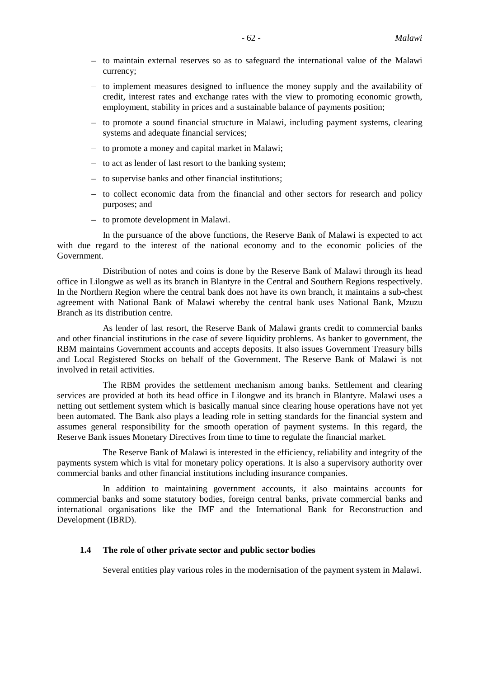- to maintain external reserves so as to safeguard the international value of the Malawi currency;
- to implement measures designed to influence the money supply and the availability of credit, interest rates and exchange rates with the view to promoting economic growth, employment, stability in prices and a sustainable balance of payments position;
- to promote a sound financial structure in Malawi, including payment systems, clearing systems and adequate financial services;
- to promote a money and capital market in Malawi;
- to act as lender of last resort to the banking system;
- to supervise banks and other financial institutions;
- to collect economic data from the financial and other sectors for research and policy purposes; and
- to promote development in Malawi.

In the pursuance of the above functions, the Reserve Bank of Malawi is expected to act with due regard to the interest of the national economy and to the economic policies of the Government.

Distribution of notes and coins is done by the Reserve Bank of Malawi through its head office in Lilongwe as well as its branch in Blantyre in the Central and Southern Regions respectively. In the Northern Region where the central bank does not have its own branch, it maintains a sub-chest agreement with National Bank of Malawi whereby the central bank uses National Bank, Mzuzu Branch as its distribution centre.

As lender of last resort, the Reserve Bank of Malawi grants credit to commercial banks and other financial institutions in the case of severe liquidity problems. As banker to government, the RBM maintains Government accounts and accepts deposits. It also issues Government Treasury bills and Local Registered Stocks on behalf of the Government. The Reserve Bank of Malawi is not involved in retail activities.

The RBM provides the settlement mechanism among banks. Settlement and clearing services are provided at both its head office in Lilongwe and its branch in Blantyre. Malawi uses a netting out settlement system which is basically manual since clearing house operations have not yet been automated. The Bank also plays a leading role in setting standards for the financial system and assumes general responsibility for the smooth operation of payment systems. In this regard, the Reserve Bank issues Monetary Directives from time to time to regulate the financial market.

The Reserve Bank of Malawi is interested in the efficiency, reliability and integrity of the payments system which is vital for monetary policy operations. It is also a supervisory authority over commercial banks and other financial institutions including insurance companies.

In addition to maintaining government accounts, it also maintains accounts for commercial banks and some statutory bodies, foreign central banks, private commercial banks and international organisations like the IMF and the International Bank for Reconstruction and Development (IBRD).

# **1.4 The role of other private sector and public sector bodies**

Several entities play various roles in the modernisation of the payment system in Malawi.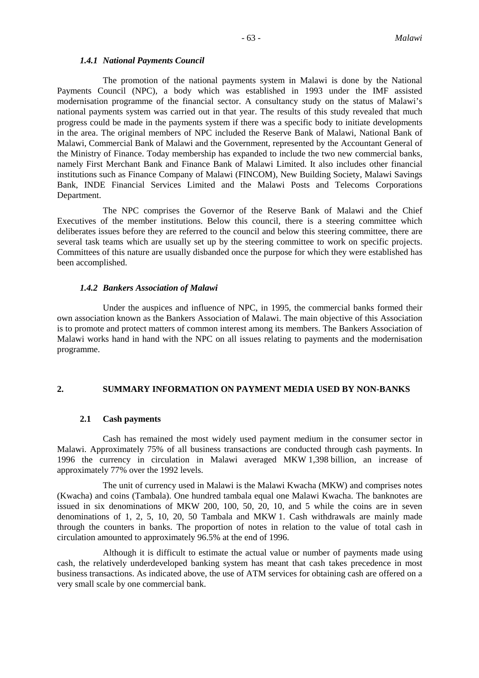#### *1.4.1 National Payments Council*

The promotion of the national payments system in Malawi is done by the National Payments Council (NPC), a body which was established in 1993 under the IMF assisted modernisation programme of the financial sector. A consultancy study on the status of Malawi's national payments system was carried out in that year. The results of this study revealed that much progress could be made in the payments system if there was a specific body to initiate developments in the area. The original members of NPC included the Reserve Bank of Malawi, National Bank of Malawi, Commercial Bank of Malawi and the Government, represented by the Accountant General of the Ministry of Finance. Today membership has expanded to include the two new commercial banks, namely First Merchant Bank and Finance Bank of Malawi Limited. It also includes other financial institutions such as Finance Company of Malawi (FINCOM), New Building Society, Malawi Savings Bank, INDE Financial Services Limited and the Malawi Posts and Telecoms Corporations Department.

The NPC comprises the Governor of the Reserve Bank of Malawi and the Chief Executives of the member institutions. Below this council, there is a steering committee which deliberates issues before they are referred to the council and below this steering committee, there are several task teams which are usually set up by the steering committee to work on specific projects. Committees of this nature are usually disbanded once the purpose for which they were established has been accomplished.

# *1.4.2 Bankers Association of Malawi*

Under the auspices and influence of NPC, in 1995, the commercial banks formed their own association known as the Bankers Association of Malawi. The main objective of this Association is to promote and protect matters of common interest among its members. The Bankers Association of Malawi works hand in hand with the NPC on all issues relating to payments and the modernisation programme.

#### **2. SUMMARY INFORMATION ON PAYMENT MEDIA USED BY NON-BANKS**

# **2.1 Cash payments**

Cash has remained the most widely used payment medium in the consumer sector in Malawi. Approximately 75% of all business transactions are conducted through cash payments. In 1996 the currency in circulation in Malawi averaged MKW 1,398 billion, an increase of approximately 77% over the 1992 levels.

The unit of currency used in Malawi is the Malawi Kwacha (MKW) and comprises notes (Kwacha) and coins (Tambala). One hundred tambala equal one Malawi Kwacha. The banknotes are issued in six denominations of MKW 200, 100, 50, 20, 10, and 5 while the coins are in seven denominations of 1, 2, 5, 10, 20, 50 Tambala and MKW 1. Cash withdrawals are mainly made through the counters in banks. The proportion of notes in relation to the value of total cash in circulation amounted to approximately 96.5% at the end of 1996.

Although it is difficult to estimate the actual value or number of payments made using cash, the relatively underdeveloped banking system has meant that cash takes precedence in most business transactions. As indicated above, the use of ATM services for obtaining cash are offered on a very small scale by one commercial bank.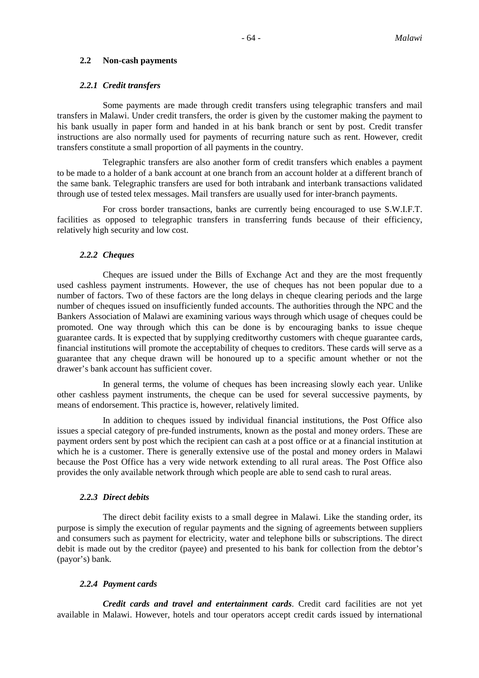# **2.2 Non-cash payments**

# *2.2.1 Credit transfers*

Some payments are made through credit transfers using telegraphic transfers and mail transfers in Malawi. Under credit transfers, the order is given by the customer making the payment to his bank usually in paper form and handed in at his bank branch or sent by post. Credit transfer instructions are also normally used for payments of recurring nature such as rent. However, credit transfers constitute a small proportion of all payments in the country.

Telegraphic transfers are also another form of credit transfers which enables a payment to be made to a holder of a bank account at one branch from an account holder at a different branch of the same bank. Telegraphic transfers are used for both intrabank and interbank transactions validated through use of tested telex messages. Mail transfers are usually used for inter-branch payments.

For cross border transactions, banks are currently being encouraged to use S.W.I.F.T. facilities as opposed to telegraphic transfers in transferring funds because of their efficiency, relatively high security and low cost.

#### *2.2.2 Cheques*

Cheques are issued under the Bills of Exchange Act and they are the most frequently used cashless payment instruments. However, the use of cheques has not been popular due to a number of factors. Two of these factors are the long delays in cheque clearing periods and the large number of cheques issued on insufficiently funded accounts. The authorities through the NPC and the Bankers Association of Malawi are examining various ways through which usage of cheques could be promoted. One way through which this can be done is by encouraging banks to issue cheque guarantee cards. It is expected that by supplying creditworthy customers with cheque guarantee cards, financial institutions will promote the acceptability of cheques to creditors. These cards will serve as a guarantee that any cheque drawn will be honoured up to a specific amount whether or not the drawer's bank account has sufficient cover.

In general terms, the volume of cheques has been increasing slowly each year. Unlike other cashless payment instruments, the cheque can be used for several successive payments, by means of endorsement. This practice is, however, relatively limited.

In addition to cheques issued by individual financial institutions, the Post Office also issues a special category of pre-funded instruments, known as the postal and money orders. These are payment orders sent by post which the recipient can cash at a post office or at a financial institution at which he is a customer. There is generally extensive use of the postal and money orders in Malawi because the Post Office has a very wide network extending to all rural areas. The Post Office also provides the only available network through which people are able to send cash to rural areas.

# *2.2.3 Direct debits*

The direct debit facility exists to a small degree in Malawi. Like the standing order, its purpose is simply the execution of regular payments and the signing of agreements between suppliers and consumers such as payment for electricity, water and telephone bills or subscriptions. The direct debit is made out by the creditor (payee) and presented to his bank for collection from the debtor's (payor's) bank.

# *2.2.4 Payment cards*

*Credit cards and travel and entertainment cards*. Credit card facilities are not yet available in Malawi. However, hotels and tour operators accept credit cards issued by international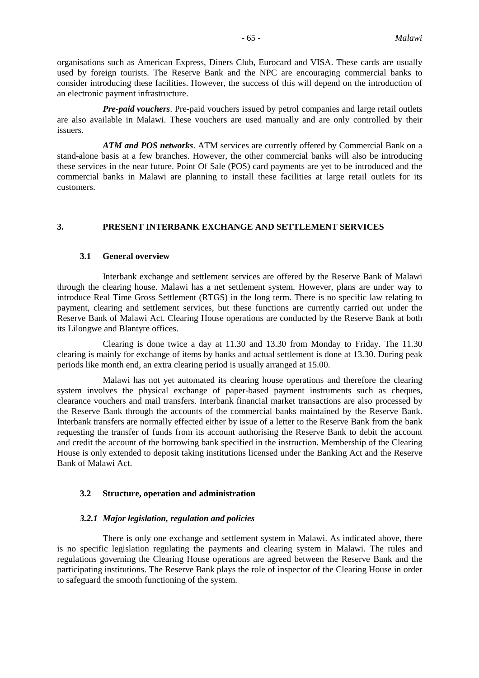organisations such as American Express, Diners Club, Eurocard and VISA. These cards are usually used by foreign tourists. The Reserve Bank and the NPC are encouraging commercial banks to consider introducing these facilities. However, the success of this will depend on the introduction of an electronic payment infrastructure.

*Pre-paid vouchers*. Pre-paid vouchers issued by petrol companies and large retail outlets are also available in Malawi. These vouchers are used manually and are only controlled by their issuers.

*ATM and POS networks*. ATM services are currently offered by Commercial Bank on a stand-alone basis at a few branches. However, the other commercial banks will also be introducing these services in the near future. Point Of Sale (POS) card payments are yet to be introduced and the commercial banks in Malawi are planning to install these facilities at large retail outlets for its customers.

# **3. PRESENT INTERBANK EXCHANGE AND SETTLEMENT SERVICES**

# **3.1 General overview**

Interbank exchange and settlement services are offered by the Reserve Bank of Malawi through the clearing house. Malawi has a net settlement system. However, plans are under way to introduce Real Time Gross Settlement (RTGS) in the long term. There is no specific law relating to payment, clearing and settlement services, but these functions are currently carried out under the Reserve Bank of Malawi Act. Clearing House operations are conducted by the Reserve Bank at both its Lilongwe and Blantyre offices.

Clearing is done twice a day at 11.30 and 13.30 from Monday to Friday. The 11.30 clearing is mainly for exchange of items by banks and actual settlement is done at 13.30. During peak periods like month end, an extra clearing period is usually arranged at 15.00.

Malawi has not yet automated its clearing house operations and therefore the clearing system involves the physical exchange of paper-based payment instruments such as cheques, clearance vouchers and mail transfers. Interbank financial market transactions are also processed by the Reserve Bank through the accounts of the commercial banks maintained by the Reserve Bank. Interbank transfers are normally effected either by issue of a letter to the Reserve Bank from the bank requesting the transfer of funds from its account authorising the Reserve Bank to debit the account and credit the account of the borrowing bank specified in the instruction. Membership of the Clearing House is only extended to deposit taking institutions licensed under the Banking Act and the Reserve Bank of Malawi Act.

# **3.2 Structure, operation and administration**

#### *3.2.1 Major legislation, regulation and policies*

There is only one exchange and settlement system in Malawi. As indicated above, there is no specific legislation regulating the payments and clearing system in Malawi. The rules and regulations governing the Clearing House operations are agreed between the Reserve Bank and the participating institutions. The Reserve Bank plays the role of inspector of the Clearing House in order to safeguard the smooth functioning of the system.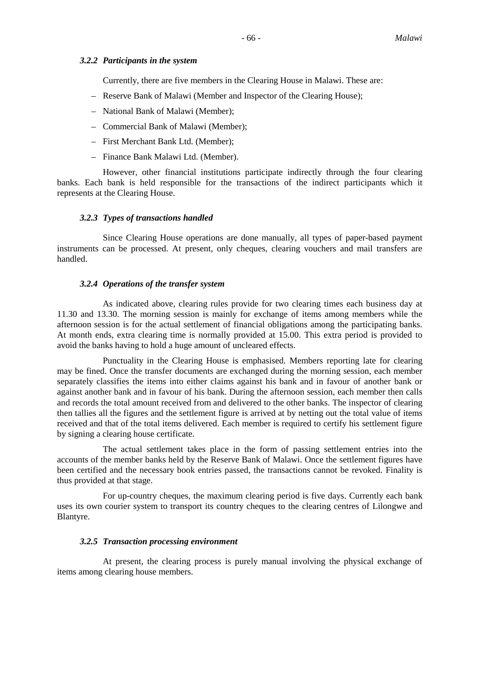# *3.2.2 Participants in the system*

Currently, there are five members in the Clearing House in Malawi. These are:

- Reserve Bank of Malawi (Member and Inspector of the Clearing House);
- National Bank of Malawi (Member);
- Commercial Bank of Malawi (Member);
- First Merchant Bank Ltd. (Member);
- Finance Bank Malawi Ltd. (Member).

However, other financial institutions participate indirectly through the four clearing banks. Each bank is held responsible for the transactions of the indirect participants which it represents at the Clearing House.

# *3.2.3 Types of transactions handled*

Since Clearing House operations are done manually, all types of paper-based payment instruments can be processed. At present, only cheques, clearing vouchers and mail transfers are handled.

# *3.2.4 Operations of the transfer system*

As indicated above, clearing rules provide for two clearing times each business day at 11.30 and 13.30. The morning session is mainly for exchange of items among members while the afternoon session is for the actual settlement of financial obligations among the participating banks. At month ends, extra clearing time is normally provided at 15.00. This extra period is provided to avoid the banks having to hold a huge amount of uncleared effects.

Punctuality in the Clearing House is emphasised. Members reporting late for clearing may be fined. Once the transfer documents are exchanged during the morning session, each member separately classifies the items into either claims against his bank and in favour of another bank or against another bank and in favour of his bank. During the afternoon session, each member then calls and records the total amount received from and delivered to the other banks. The inspector of clearing then tallies all the figures and the settlement figure is arrived at by netting out the total value of items received and that of the total items delivered. Each member is required to certify his settlement figure by signing a clearing house certificate.

The actual settlement takes place in the form of passing settlement entries into the accounts of the member banks held by the Reserve Bank of Malawi. Once the settlement figures have been certified and the necessary book entries passed, the transactions cannot be revoked. Finality is thus provided at that stage.

For up-country cheques, the maximum clearing period is five days. Currently each bank uses its own courier system to transport its country cheques to the clearing centres of Lilongwe and Blantyre.

# *3.2.5 Transaction processing environment*

At present, the clearing process is purely manual involving the physical exchange of items among clearing house members.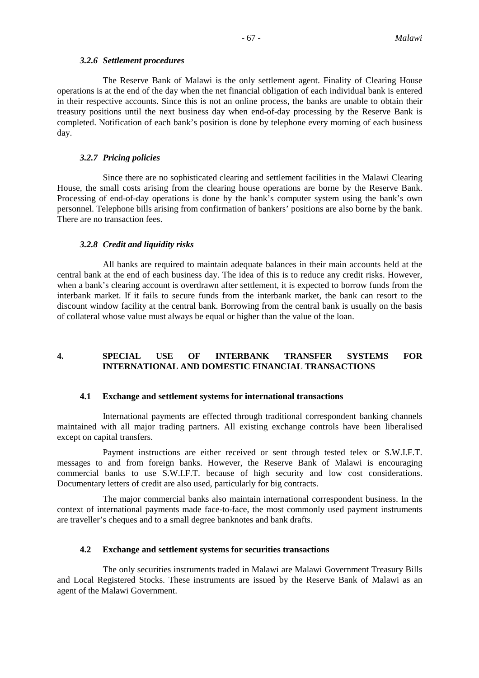# *3.2.6 Settlement procedures*

The Reserve Bank of Malawi is the only settlement agent. Finality of Clearing House operations is at the end of the day when the net financial obligation of each individual bank is entered in their respective accounts. Since this is not an online process, the banks are unable to obtain their treasury positions until the next business day when end-of-day processing by the Reserve Bank is completed. Notification of each bank's position is done by telephone every morning of each business day.

# *3.2.7 Pricing policies*

Since there are no sophisticated clearing and settlement facilities in the Malawi Clearing House, the small costs arising from the clearing house operations are borne by the Reserve Bank. Processing of end-of-day operations is done by the bank's computer system using the bank's own personnel. Telephone bills arising from confirmation of bankers' positions are also borne by the bank. There are no transaction fees.

# *3.2.8 Credit and liquidity risks*

All banks are required to maintain adequate balances in their main accounts held at the central bank at the end of each business day. The idea of this is to reduce any credit risks. However, when a bank's clearing account is overdrawn after settlement, it is expected to borrow funds from the interbank market. If it fails to secure funds from the interbank market, the bank can resort to the discount window facility at the central bank. Borrowing from the central bank is usually on the basis of collateral whose value must always be equal or higher than the value of the loan.

# **4. SPECIAL USE OF INTERBANK TRANSFER SYSTEMS FOR INTERNATIONAL AND DOMESTIC FINANCIAL TRANSACTIONS**

# **4.1 Exchange and settlement systems for international transactions**

International payments are effected through traditional correspondent banking channels maintained with all major trading partners. All existing exchange controls have been liberalised except on capital transfers.

Payment instructions are either received or sent through tested telex or S.W.I.F.T. messages to and from foreign banks. However, the Reserve Bank of Malawi is encouraging commercial banks to use S.W.I.F.T. because of high security and low cost considerations. Documentary letters of credit are also used, particularly for big contracts.

The major commercial banks also maintain international correspondent business. In the context of international payments made face-to-face, the most commonly used payment instruments are traveller's cheques and to a small degree banknotes and bank drafts.

# **4.2 Exchange and settlement systems for securities transactions**

The only securities instruments traded in Malawi are Malawi Government Treasury Bills and Local Registered Stocks. These instruments are issued by the Reserve Bank of Malawi as an agent of the Malawi Government.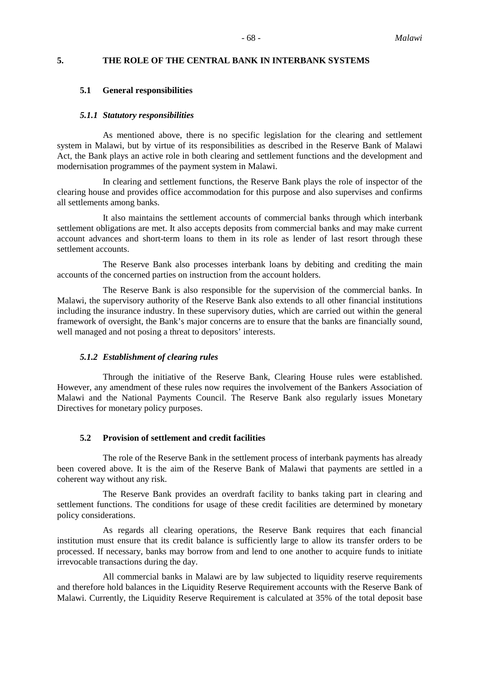# **5. THE ROLE OF THE CENTRAL BANK IN INTERBANK SYSTEMS**

#### **5.1 General responsibilities**

#### *5.1.1 Statutory responsibilities*

As mentioned above, there is no specific legislation for the clearing and settlement system in Malawi, but by virtue of its responsibilities as described in the Reserve Bank of Malawi Act, the Bank plays an active role in both clearing and settlement functions and the development and modernisation programmes of the payment system in Malawi.

In clearing and settlement functions, the Reserve Bank plays the role of inspector of the clearing house and provides office accommodation for this purpose and also supervises and confirms all settlements among banks.

It also maintains the settlement accounts of commercial banks through which interbank settlement obligations are met. It also accepts deposits from commercial banks and may make current account advances and short-term loans to them in its role as lender of last resort through these settlement accounts.

The Reserve Bank also processes interbank loans by debiting and crediting the main accounts of the concerned parties on instruction from the account holders.

The Reserve Bank is also responsible for the supervision of the commercial banks. In Malawi, the supervisory authority of the Reserve Bank also extends to all other financial institutions including the insurance industry. In these supervisory duties, which are carried out within the general framework of oversight, the Bank's major concerns are to ensure that the banks are financially sound, well managed and not posing a threat to depositors' interests.

# *5.1.2 Establishment of clearing rules*

Through the initiative of the Reserve Bank, Clearing House rules were established. However, any amendment of these rules now requires the involvement of the Bankers Association of Malawi and the National Payments Council. The Reserve Bank also regularly issues Monetary Directives for monetary policy purposes.

# **5.2 Provision of settlement and credit facilities**

The role of the Reserve Bank in the settlement process of interbank payments has already been covered above. It is the aim of the Reserve Bank of Malawi that payments are settled in a coherent way without any risk.

The Reserve Bank provides an overdraft facility to banks taking part in clearing and settlement functions. The conditions for usage of these credit facilities are determined by monetary policy considerations.

As regards all clearing operations, the Reserve Bank requires that each financial institution must ensure that its credit balance is sufficiently large to allow its transfer orders to be processed. If necessary, banks may borrow from and lend to one another to acquire funds to initiate irrevocable transactions during the day.

All commercial banks in Malawi are by law subjected to liquidity reserve requirements and therefore hold balances in the Liquidity Reserve Requirement accounts with the Reserve Bank of Malawi. Currently, the Liquidity Reserve Requirement is calculated at 35% of the total deposit base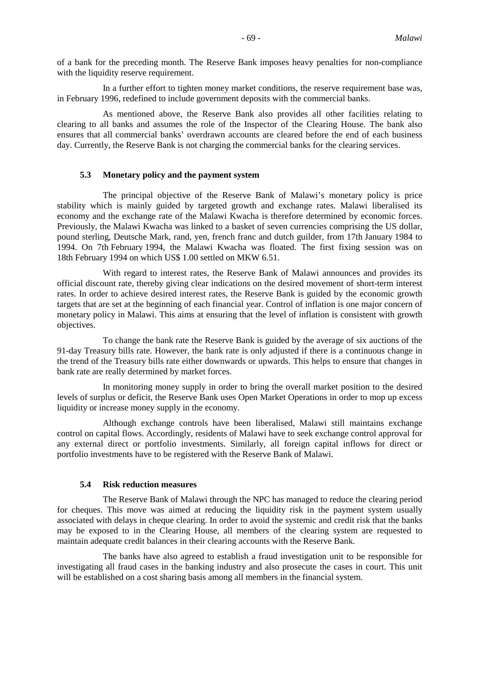of a bank for the preceding month. The Reserve Bank imposes heavy penalties for non-compliance with the liquidity reserve requirement.

In a further effort to tighten money market conditions, the reserve requirement base was, in February 1996, redefined to include government deposits with the commercial banks.

As mentioned above, the Reserve Bank also provides all other facilities relating to clearing to all banks and assumes the role of the Inspector of the Clearing House. The bank also ensures that all commercial banks' overdrawn accounts are cleared before the end of each business day. Currently, the Reserve Bank is not charging the commercial banks for the clearing services.

# **5.3 Monetary policy and the payment system**

The principal objective of the Reserve Bank of Malawi's monetary policy is price stability which is mainly guided by targeted growth and exchange rates. Malawi liberalised its economy and the exchange rate of the Malawi Kwacha is therefore determined by economic forces. Previously, the Malawi Kwacha was linked to a basket of seven currencies comprising the US dollar, pound sterling, Deutsche Mark, rand, yen, french franc and dutch guilder, from 17th January 1984 to 1994. On 7th February 1994, the Malawi Kwacha was floated. The first fixing session was on 18th February 1994 on which US\$ 1.00 settled on MKW 6.51.

With regard to interest rates, the Reserve Bank of Malawi announces and provides its official discount rate, thereby giving clear indications on the desired movement of short-term interest rates. In order to achieve desired interest rates, the Reserve Bank is guided by the economic growth targets that are set at the beginning of each financial year. Control of inflation is one major concern of monetary policy in Malawi. This aims at ensuring that the level of inflation is consistent with growth objectives.

To change the bank rate the Reserve Bank is guided by the average of six auctions of the 91-day Treasury bills rate. However, the bank rate is only adjusted if there is a continuous change in the trend of the Treasury bills rate either downwards or upwards. This helps to ensure that changes in bank rate are really determined by market forces.

In monitoring money supply in order to bring the overall market position to the desired levels of surplus or deficit, the Reserve Bank uses Open Market Operations in order to mop up excess liquidity or increase money supply in the economy.

Although exchange controls have been liberalised, Malawi still maintains exchange control on capital flows. Accordingly, residents of Malawi have to seek exchange control approval for any external direct or portfolio investments. Similarly, all foreign capital inflows for direct or portfolio investments have to be registered with the Reserve Bank of Malawi.

# **5.4 Risk reduction measures**

The Reserve Bank of Malawi through the NPC has managed to reduce the clearing period for cheques. This move was aimed at reducing the liquidity risk in the payment system usually associated with delays in cheque clearing. In order to avoid the systemic and credit risk that the banks may be exposed to in the Clearing House, all members of the clearing system are requested to maintain adequate credit balances in their clearing accounts with the Reserve Bank.

The banks have also agreed to establish a fraud investigation unit to be responsible for investigating all fraud cases in the banking industry and also prosecute the cases in court. This unit will be established on a cost sharing basis among all members in the financial system.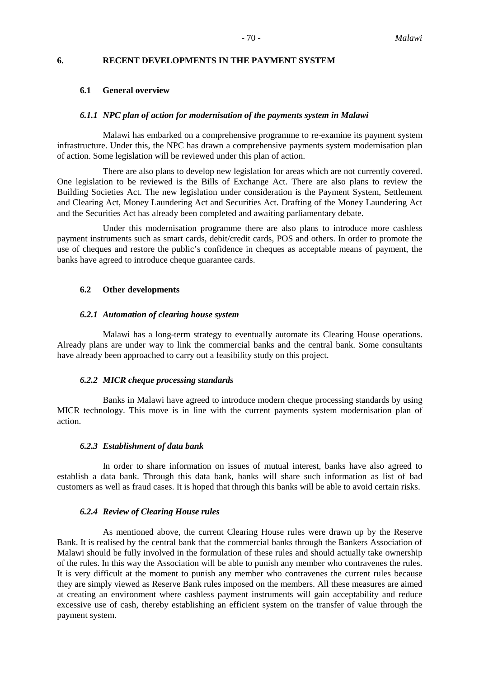# **6. RECENT DEVELOPMENTS IN THE PAYMENT SYSTEM**

#### **6.1 General overview**

#### *6.1.1 NPC plan of action for modernisation of the payments system in Malawi*

Malawi has embarked on a comprehensive programme to re-examine its payment system infrastructure. Under this, the NPC has drawn a comprehensive payments system modernisation plan of action. Some legislation will be reviewed under this plan of action.

There are also plans to develop new legislation for areas which are not currently covered. One legislation to be reviewed is the Bills of Exchange Act. There are also plans to review the Building Societies Act. The new legislation under consideration is the Payment System, Settlement and Clearing Act, Money Laundering Act and Securities Act. Drafting of the Money Laundering Act and the Securities Act has already been completed and awaiting parliamentary debate.

Under this modernisation programme there are also plans to introduce more cashless payment instruments such as smart cards, debit/credit cards, POS and others. In order to promote the use of cheques and restore the public's confidence in cheques as acceptable means of payment, the banks have agreed to introduce cheque guarantee cards.

#### **6.2 Other developments**

#### *6.2.1 Automation of clearing house system*

Malawi has a long-term strategy to eventually automate its Clearing House operations. Already plans are under way to link the commercial banks and the central bank. Some consultants have already been approached to carry out a feasibility study on this project.

#### *6.2.2 MICR cheque processing standards*

Banks in Malawi have agreed to introduce modern cheque processing standards by using MICR technology. This move is in line with the current payments system modernisation plan of action.

# *6.2.3 Establishment of data bank*

In order to share information on issues of mutual interest, banks have also agreed to establish a data bank. Through this data bank, banks will share such information as list of bad customers as well as fraud cases. It is hoped that through this banks will be able to avoid certain risks.

#### *6.2.4 Review of Clearing House rules*

As mentioned above, the current Clearing House rules were drawn up by the Reserve Bank. It is realised by the central bank that the commercial banks through the Bankers Association of Malawi should be fully involved in the formulation of these rules and should actually take ownership of the rules. In this way the Association will be able to punish any member who contravenes the rules. It is very difficult at the moment to punish any member who contravenes the current rules because they are simply viewed as Reserve Bank rules imposed on the members. All these measures are aimed at creating an environment where cashless payment instruments will gain acceptability and reduce excessive use of cash, thereby establishing an efficient system on the transfer of value through the payment system.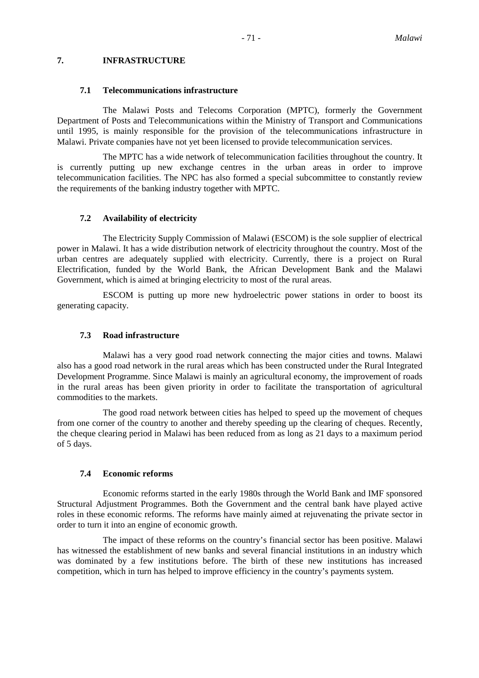# **7. INFRASTRUCTURE**

#### **7.1 Telecommunications infrastructure**

The Malawi Posts and Telecoms Corporation (MPTC), formerly the Government Department of Posts and Telecommunications within the Ministry of Transport and Communications until 1995, is mainly responsible for the provision of the telecommunications infrastructure in Malawi. Private companies have not yet been licensed to provide telecommunication services.

The MPTC has a wide network of telecommunication facilities throughout the country. It is currently putting up new exchange centres in the urban areas in order to improve telecommunication facilities. The NPC has also formed a special subcommittee to constantly review the requirements of the banking industry together with MPTC.

# **7.2 Availability of electricity**

The Electricity Supply Commission of Malawi (ESCOM) is the sole supplier of electrical power in Malawi. It has a wide distribution network of electricity throughout the country. Most of the urban centres are adequately supplied with electricity. Currently, there is a project on Rural Electrification, funded by the World Bank, the African Development Bank and the Malawi Government, which is aimed at bringing electricity to most of the rural areas.

ESCOM is putting up more new hydroelectric power stations in order to boost its generating capacity.

# **7.3 Road infrastructure**

Malawi has a very good road network connecting the major cities and towns. Malawi also has a good road network in the rural areas which has been constructed under the Rural Integrated Development Programme. Since Malawi is mainly an agricultural economy, the improvement of roads in the rural areas has been given priority in order to facilitate the transportation of agricultural commodities to the markets.

The good road network between cities has helped to speed up the movement of cheques from one corner of the country to another and thereby speeding up the clearing of cheques. Recently, the cheque clearing period in Malawi has been reduced from as long as 21 days to a maximum period of 5 days.

# **7.4 Economic reforms**

Economic reforms started in the early 1980s through the World Bank and IMF sponsored Structural Adjustment Programmes. Both the Government and the central bank have played active roles in these economic reforms. The reforms have mainly aimed at rejuvenating the private sector in order to turn it into an engine of economic growth.

The impact of these reforms on the country's financial sector has been positive. Malawi has witnessed the establishment of new banks and several financial institutions in an industry which was dominated by a few institutions before. The birth of these new institutions has increased competition, which in turn has helped to improve efficiency in the country's payments system.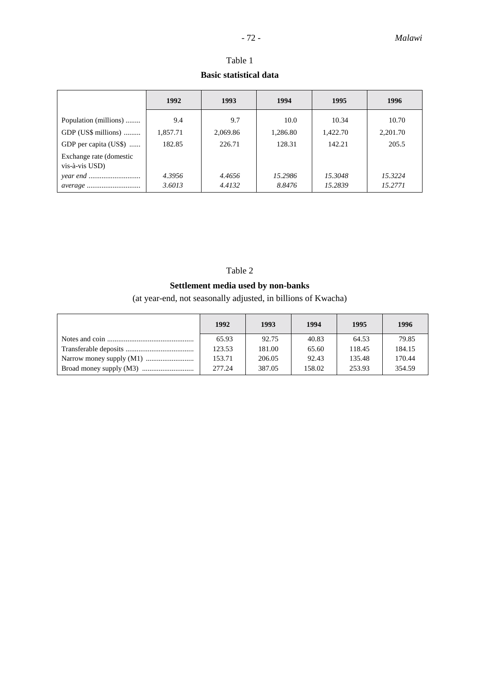|                                           | 1992     | 1993     | 1994     | 1995     | 1996     |
|-------------------------------------------|----------|----------|----------|----------|----------|
| Population (millions)                     | 9.4      | 9.7      | 10.0     | 10.34    | 10.70    |
| GDP (US\$ millions)                       | 1,857.71 | 2,069.86 | 1,286.80 | 1,422.70 | 2,201.70 |
| GDP per capita (US\$)                     | 182.85   | 226.71   | 128.31   | 142.21   | 205.5    |
| Exchange rate (domestic<br>vis-à-vis USD) |          |          |          |          |          |
|                                           | 4.3956   | 4.4656   | 15.2986  | 15.3048  | 15.3224  |
|                                           | 3.6013   | 4.4132   | 8.8476   | 15.2839  | 15.2771  |

# Table 1 **Basic statistical data**

# Table 2

# **Settlement media used by non-banks**

(at year-end, not seasonally adjusted, in billions of Kwacha)

| 1992   | 1993   | 1994   | 1995   | 1996   |
|--------|--------|--------|--------|--------|
| 65.93  | 92.75  | 40.83  | 64.53  | 79.85  |
| 123.53 | 181.00 | 65.60  | 118.45 | 184.15 |
| 153.71 | 206.05 | 92.43  | 135.48 | 170.44 |
| 277.24 | 387.05 | 158.02 | 253.93 | 354.59 |